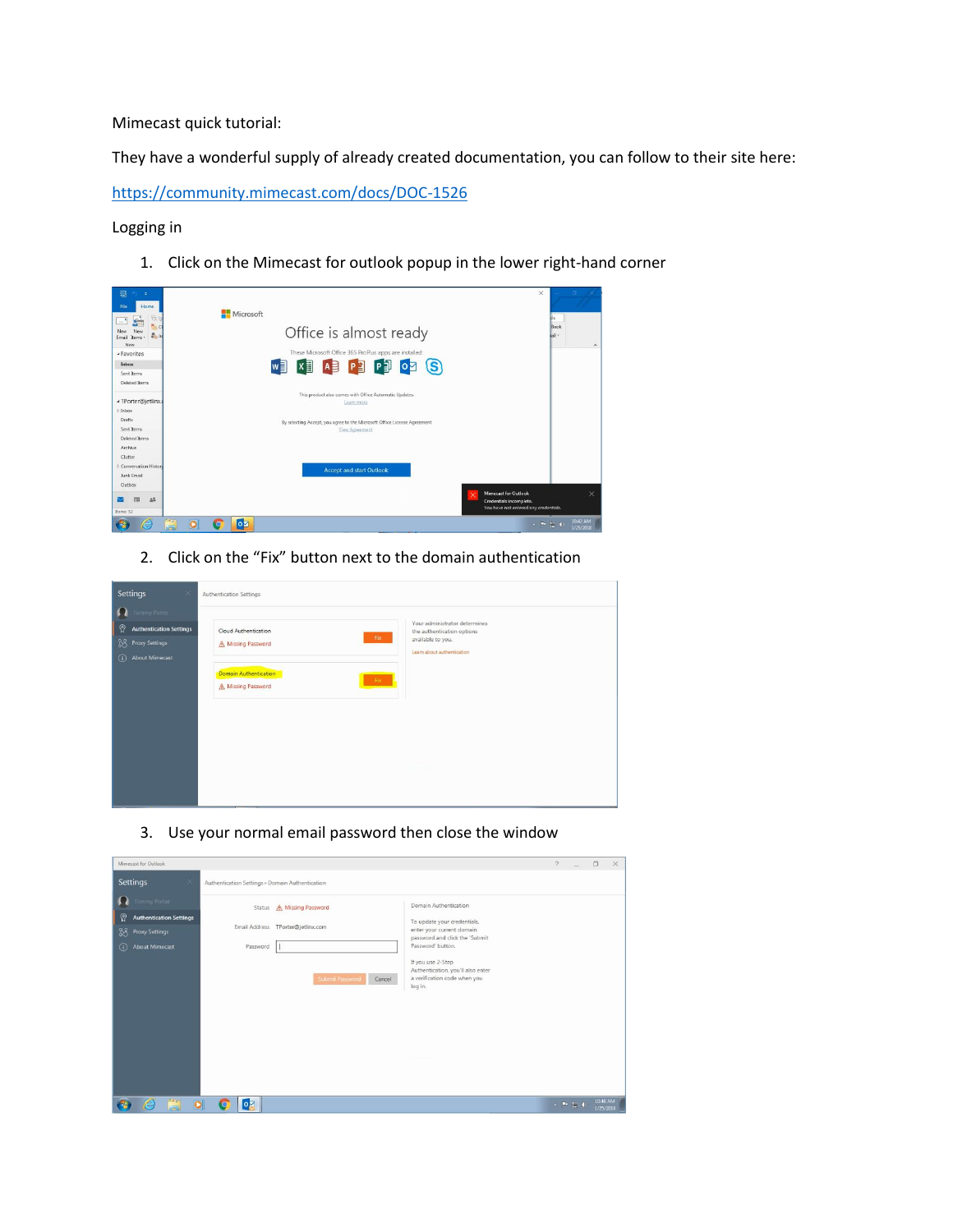Mimecast quick tutorial:

They have a wonderful supply of already created documentation, you can follow to their site here:

<https://community.mimecast.com/docs/DOC-1526>

Logging in

1. Click on the Mimecast for outlook popup in the lower right-hand corner

| Items: 52<br>ō<br>e                                              | You have not entered any credentials.<br>$\overline{\circ}$<br>KO                                 | 10:42 AM<br>$\sim$ 30 $\mu$<br>1/25/2018 |
|------------------------------------------------------------------|---------------------------------------------------------------------------------------------------|------------------------------------------|
| Outbox<br>而<br>$\Delta \tilde{\omega}$                           | Mimecast for Outlook<br>Credentials incomplete.                                                   | $\times$                                 |
| Conversation History<br>Junk Email                               | <b>Accept and start Outlook</b>                                                                   |                                          |
| Archive<br>Clutter                                               |                                                                                                   |                                          |
| Drafts<br>Sent Items<br>Deleted Items                            | By selecting Accept, you agree to the Microsoft Office License Agreement<br><b>View Agreement</b> |                                          |
| ▲ TPorter@jetlinx.<br>$>$ Inbox                                  | Learn more                                                                                        |                                          |
| Deleted Items                                                    | This product also comes with Office Automatic Updates.                                            |                                          |
| Inbox<br>Sent Items                                              | PE<br>PT<br>AB<br>$\overline{\mathbf{o}}$<br>$\mathbf{S}$<br>w≣                                   |                                          |
| - Favorites                                                      | These Microsoft Office 365 ProPlus apps are installed:                                            |                                          |
| File<br>Home<br>佞<br>New<br>New<br>2.5u<br>Fmail<br>Items<br>New | <b>Microsoft</b><br>Office is almost ready                                                        | Book<br>hail -<br>$\hat{\phantom{a}}$    |
| 鷗<br>h e                                                         |                                                                                                   | $\times$                                 |

2. Click on the "Fix" button next to the domain authentication

| Settings<br>×                         | Authentication Settings                                                        |
|---------------------------------------|--------------------------------------------------------------------------------|
| <b>O</b> Tommy Porter                 | Your administrator determines                                                  |
| စ္ပ<br><b>Authentication Settings</b> | Cloud Authentication<br>the authentication options<br>Fix<br>available to you. |
| <b>SS</b> Proxy Settings              | Missing Password<br>Learn about authentication                                 |
| $^\circledR$<br><b>About Mimecast</b> | Domain Authentication                                                          |
|                                       | Fix<br>A Missing Password                                                      |
|                                       |                                                                                |
|                                       |                                                                                |
|                                       |                                                                                |
|                                       |                                                                                |
|                                       |                                                                                |
|                                       |                                                                                |
|                                       |                                                                                |

3. Use your normal email password then close the window

| Mimecast for Outlook                                                                                       |                                                                                                                                                                                                                                                                                                                                                                       | $\sqrt{2}$ |          | $\Box$                | $\times$ |
|------------------------------------------------------------------------------------------------------------|-----------------------------------------------------------------------------------------------------------------------------------------------------------------------------------------------------------------------------------------------------------------------------------------------------------------------------------------------------------------------|------------|----------|-----------------------|----------|
| <b>Settings</b><br>×                                                                                       | Authentication Settings > Domain Authentication                                                                                                                                                                                                                                                                                                                       |            |          |                       |          |
| Tommy Porter<br>ၐၙ<br><b>Authentication Settings</b><br>38<br>Proxy Settings<br><b>About Mimecast</b><br>⋒ | Domain Authentication<br>A Missing Password<br>Status<br>To update your credentials,<br>Email Address<br>TPorter@jetlinx.com<br>enter your current domain<br>password and click the 'Submit<br>Password' button.<br>Password<br>If you use 2-Step<br>Authentication, you'll also enter<br>a verification code when you<br><b>Submit Password</b><br>Cancel<br>log in. |            |          |                       |          |
| ä<br>$\bullet$<br>e                                                                                        | <b>lo</b> z<br><b>lo</b>                                                                                                                                                                                                                                                                                                                                              |            | ▲ 四 和 40 | 10:45 AM<br>1/25/2018 |          |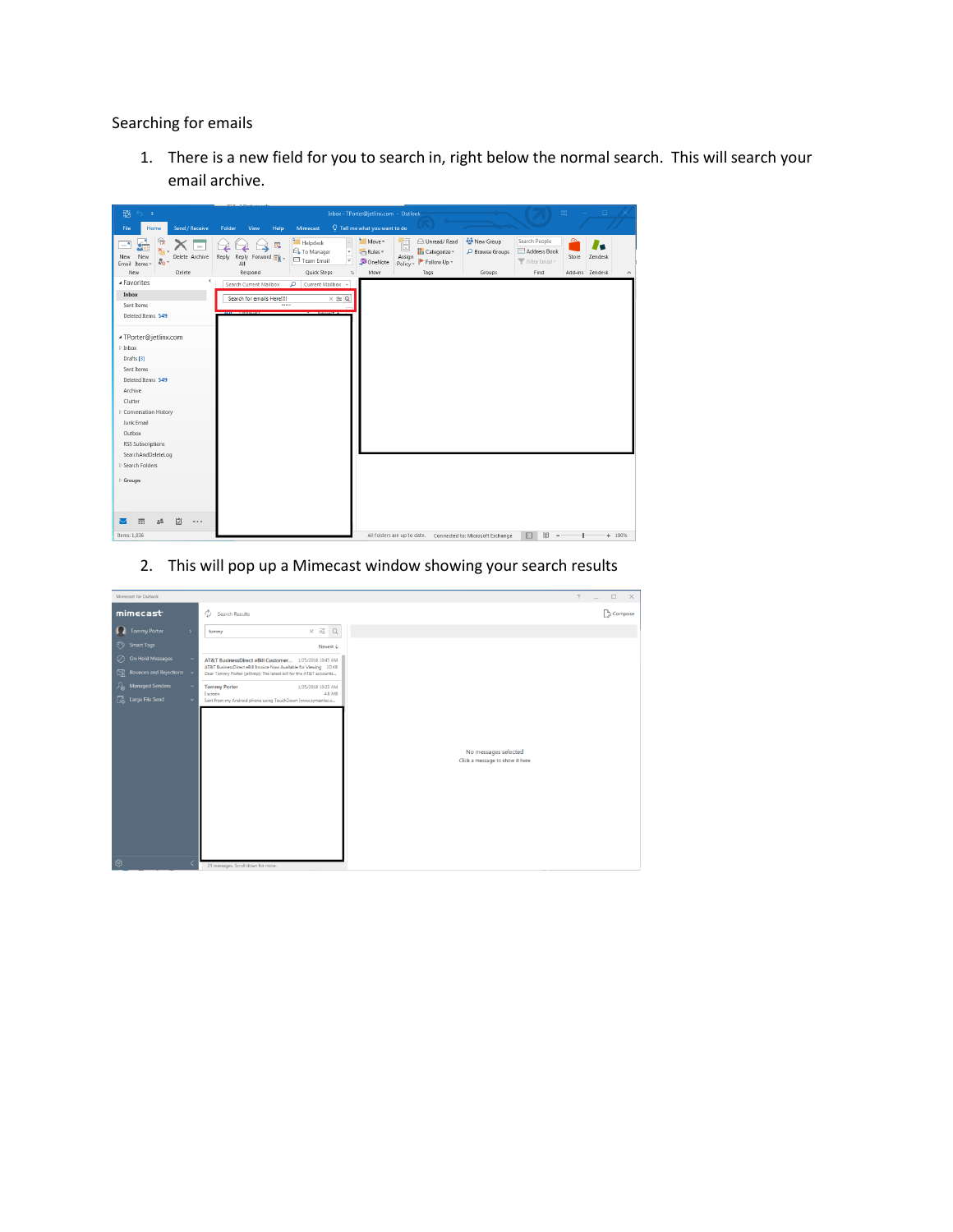Searching for emails

1. There is a new field for you to search in, right below the normal search. This will search your email archive.



2. This will pop up a Mimecast window showing your search results

| Mimecast for Outlook                         |                                                                                                                                          | $\square$ $\times$<br>$\gamma$<br>$\overline{\phantom{a}}$ |
|----------------------------------------------|------------------------------------------------------------------------------------------------------------------------------------------|------------------------------------------------------------|
| mimecast                                     | Ò<br>Search Results                                                                                                                      | Compose                                                    |
| <b>Tommy Porter</b><br>1. I<br>$\rightarrow$ | $\times \equiv Q$<br>tommy                                                                                                               |                                                            |
| $\odot$<br><b>Smart Tags</b>                 | Newest +                                                                                                                                 |                                                            |
| On Hold Messages<br>$\circ$                  | AT&T BusinessDirect eBill Customer 1/25/2018 10:45 AM                                                                                    |                                                            |
| $\boxtimes$<br>Bounces and Rejections v      | AT&T BusinessDirect eBill Invoice Now Available for Viewing 10 KB<br>Dear Tommy Porter (jetlintp): The latest bill for the AT&T accounts |                                                            |
| <b>Managed Senders</b><br>ሥ                  | <b>Tommy Porter</b><br>1/25/2018 10:23 AM<br><b>4.8 MB</b><br>I screen                                                                   |                                                            |
| Large File Send                              | Sent from my Android phone using TouchDown (www.symantec.c                                                                               |                                                            |
|                                              |                                                                                                                                          |                                                            |
|                                              |                                                                                                                                          |                                                            |
|                                              |                                                                                                                                          |                                                            |
|                                              | No messages selected<br>Click a message to show it here                                                                                  |                                                            |
|                                              |                                                                                                                                          |                                                            |
|                                              |                                                                                                                                          |                                                            |
|                                              |                                                                                                                                          |                                                            |
|                                              |                                                                                                                                          |                                                            |
|                                              |                                                                                                                                          |                                                            |
|                                              |                                                                                                                                          |                                                            |
| ි                                            |                                                                                                                                          |                                                            |
|                                              | 25 messages. Scroll down for more.                                                                                                       |                                                            |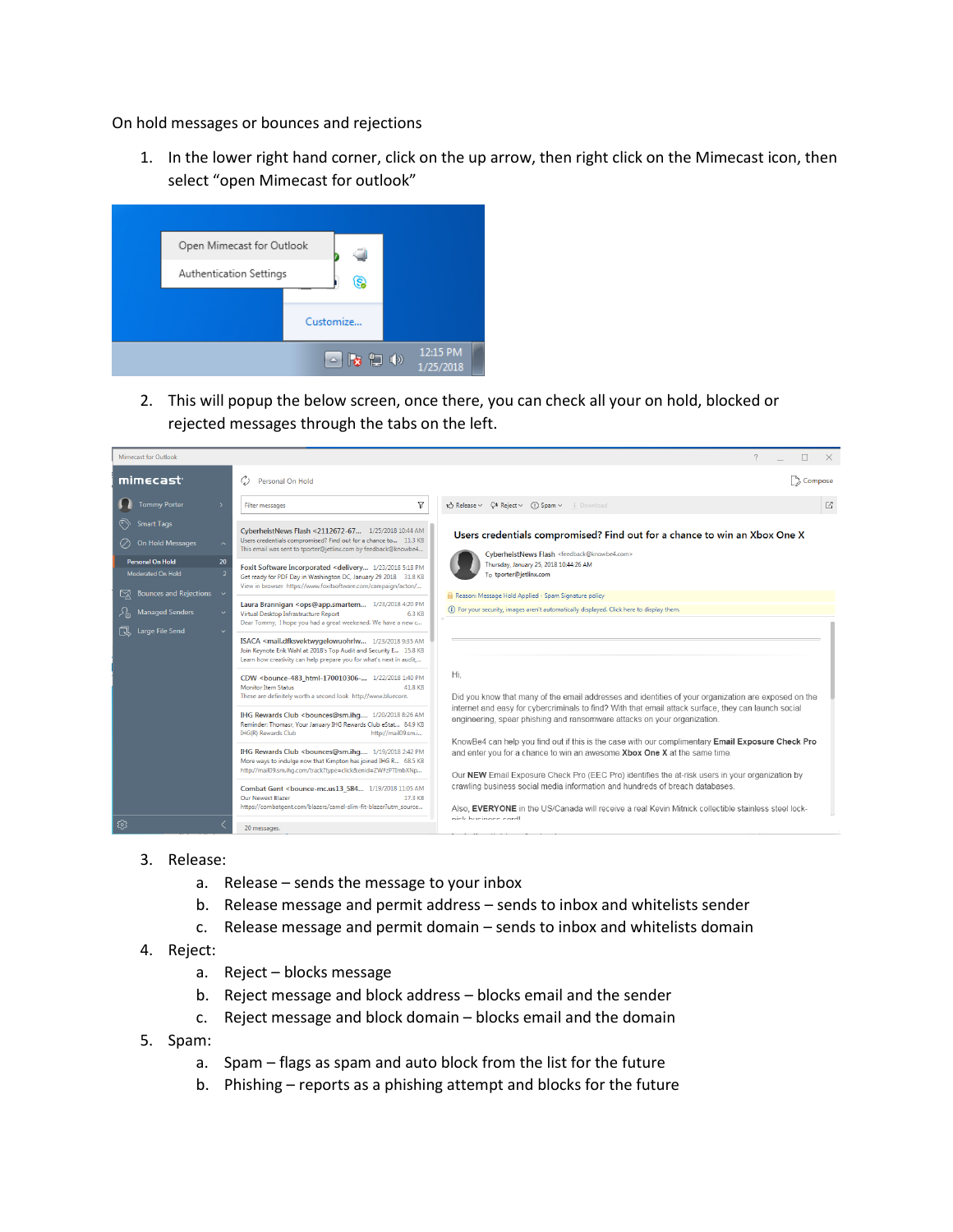On hold messages or bounces and rejections

1. In the lower right hand corner, click on the up arrow, then right click on the Mimecast icon, then select "open Mimecast for outlook"



2. This will popup the below screen, once there, you can check all your on hold, blocked or rejected messages through the tabs on the left.



- 3. Release:
	- a. Release sends the message to your inbox
	- b. Release message and permit address sends to inbox and whitelists sender
	- c. Release message and permit domain sends to inbox and whitelists domain
- 4. Reject:
	- a. Reject blocks message
	- b. Reject message and block address blocks email and the sender
	- c. Reject message and block domain blocks email and the domain
- 5. Spam:
	- a. Spam flags as spam and auto block from the list for the future
	- b. Phishing reports as a phishing attempt and blocks for the future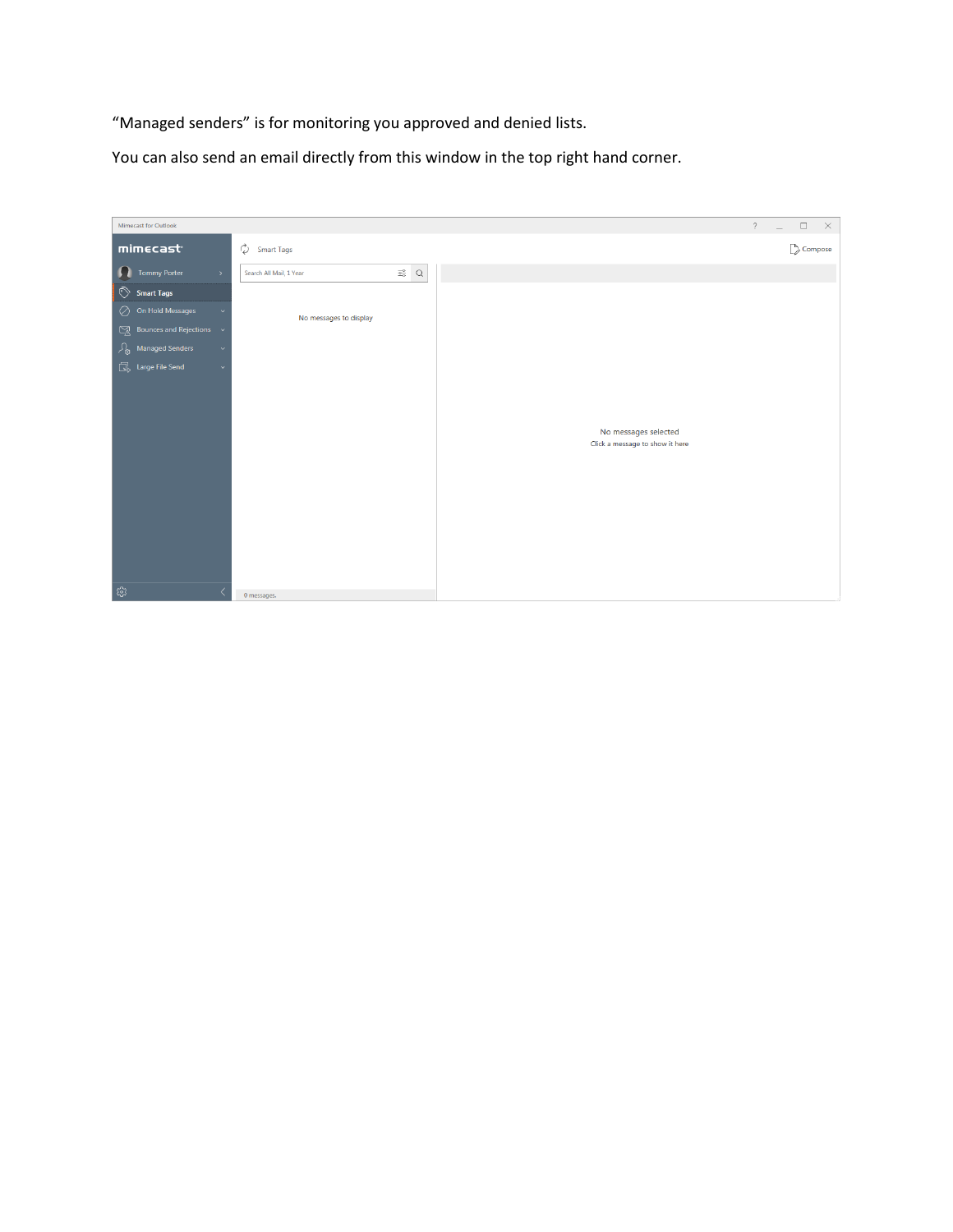"Managed senders" is for monitoring you approved and denied lists.

You can also send an email directly from this window in the top right hand corner.

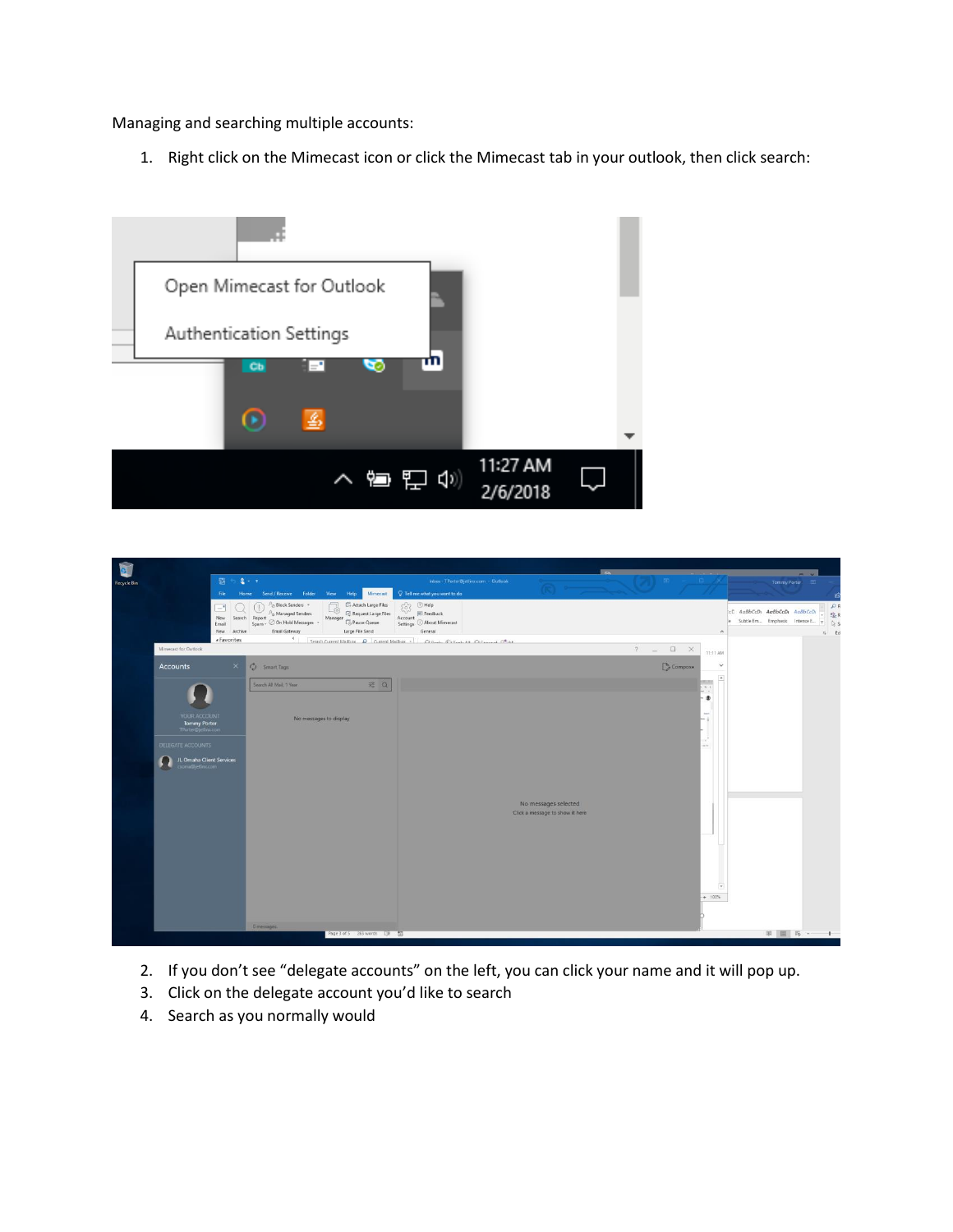Managing and searching multiple accounts:

1. Right click on the Mimecast icon or click the Mimecast tab in your outlook, then click search:





- 2. If you don't see "delegate accounts" on the left, you can click your name and it will pop up.
- 3. Click on the delegate account you'd like to search
- 4. Search as you normally would